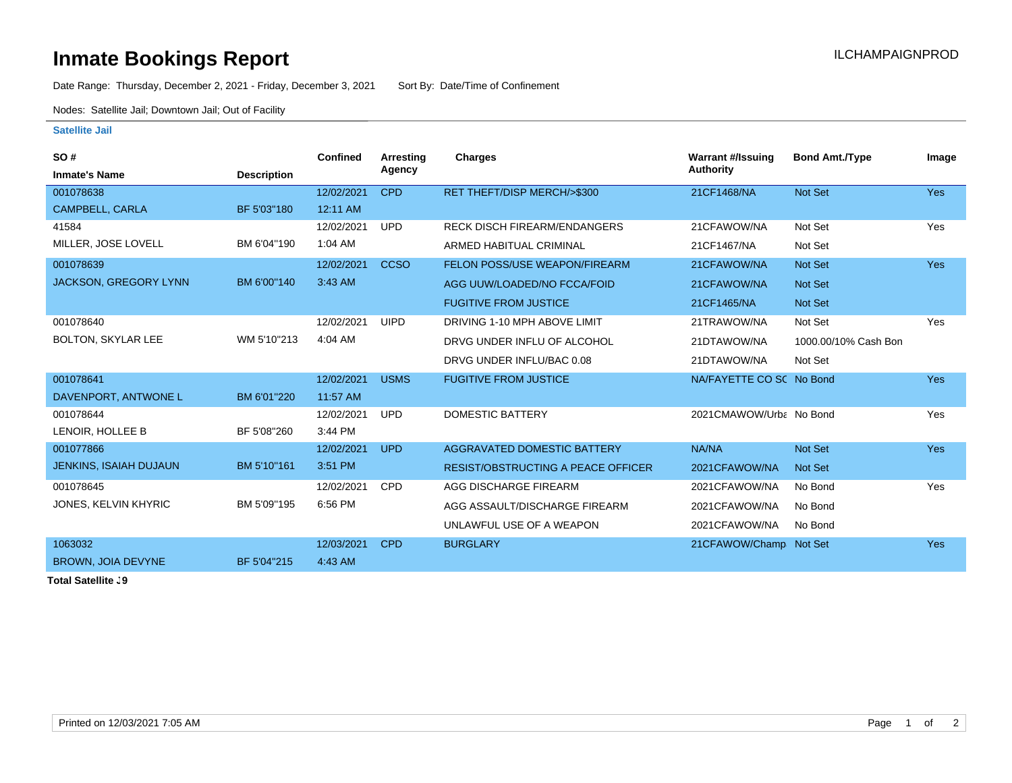## **Inmate Bookings Report Installation ILCHAMPAIGNPROD**

Date Range: Thursday, December 2, 2021 - Friday, December 3, 2021 Sort By: Date/Time of Confinement

Nodes: Satellite Jail; Downtown Jail; Out of Facility

## **Satellite Jail**

| <b>SO#</b>                    |                    | <b>Confined</b> | <b>Arresting</b> | Charges                                   | <b>Warrant #/Issuing</b> | <b>Bond Amt./Type</b> | Image      |
|-------------------------------|--------------------|-----------------|------------------|-------------------------------------------|--------------------------|-----------------------|------------|
| <b>Inmate's Name</b>          | <b>Description</b> |                 | Agency           |                                           | Authority                |                       |            |
| 001078638                     |                    | 12/02/2021      | <b>CPD</b>       | RET THEFT/DISP MERCH/>\$300               | 21CF1468/NA              | Not Set               | <b>Yes</b> |
| CAMPBELL, CARLA               | BF 5'03"180        | 12:11 AM        |                  |                                           |                          |                       |            |
| 41584                         |                    | 12/02/2021      | <b>UPD</b>       | <b>RECK DISCH FIREARM/ENDANGERS</b>       | 21CFAWOW/NA              | Not Set               | Yes        |
| MILLER, JOSE LOVELL           | BM 6'04"190        | 1:04 AM         |                  | ARMED HABITUAL CRIMINAL                   | 21CF1467/NA              | Not Set               |            |
| 001078639                     |                    | 12/02/2021      | <b>CCSO</b>      | <b>FELON POSS/USE WEAPON/FIREARM</b>      | 21CFAWOW/NA              | Not Set               | <b>Yes</b> |
| <b>JACKSON, GREGORY LYNN</b>  | BM 6'00"140        | 3:43 AM         |                  | AGG UUW/LOADED/NO FCCA/FOID               | 21CFAWOW/NA              | Not Set               |            |
|                               |                    |                 |                  | <b>FUGITIVE FROM JUSTICE</b>              | 21CF1465/NA              | Not Set               |            |
| 001078640                     |                    | 12/02/2021      | <b>UIPD</b>      | DRIVING 1-10 MPH ABOVE LIMIT              | 21TRAWOW/NA              | Not Set               | Yes        |
| <b>BOLTON, SKYLAR LEE</b>     | WM 5'10"213        | 4:04 AM         |                  | DRVG UNDER INFLU OF ALCOHOL               | 21DTAWOW/NA              | 1000.00/10% Cash Bon  |            |
|                               |                    |                 |                  | DRVG UNDER INFLU/BAC 0.08                 | 21DTAWOW/NA              | Not Set               |            |
| 001078641                     |                    | 12/02/2021      | <b>USMS</b>      | <b>FUGITIVE FROM JUSTICE</b>              | NA/FAYETTE CO SC No Bond |                       | <b>Yes</b> |
| DAVENPORT, ANTWONE L          | BM 6'01"220        | 11:57 AM        |                  |                                           |                          |                       |            |
| 001078644                     |                    | 12/02/2021      | <b>UPD</b>       | DOMESTIC BATTERY                          | 2021CMAWOW/Urba No Bond  |                       | Yes        |
| LENOIR, HOLLEE B              | BF 5'08"260        | 3:44 PM         |                  |                                           |                          |                       |            |
| 001077866                     |                    | 12/02/2021      | <b>UPD</b>       | AGGRAVATED DOMESTIC BATTERY               | NA/NA                    | Not Set               | <b>Yes</b> |
| <b>JENKINS, ISAIAH DUJAUN</b> | BM 5'10"161        | 3:51 PM         |                  | <b>RESIST/OBSTRUCTING A PEACE OFFICER</b> | 2021CFAWOW/NA            | <b>Not Set</b>        |            |
| 001078645                     |                    | 12/02/2021      | <b>CPD</b>       | AGG DISCHARGE FIREARM                     | 2021CFAWOW/NA            | No Bond               | Yes        |
| JONES, KELVIN KHYRIC          | BM 5'09"195        | 6:56 PM         |                  | AGG ASSAULT/DISCHARGE FIREARM             | 2021CFAWOW/NA            | No Bond               |            |
|                               |                    |                 |                  | UNLAWFUL USE OF A WEAPON                  | 2021CFAWOW/NA            | No Bond               |            |
| 1063032                       |                    | 12/03/2021      | <b>CPD</b>       | <b>BURGLARY</b>                           | 21CFAWOW/Champ Not Set   |                       | Yes        |
| BROWN, JOIA DEVYNE            | BF 5'04"215        | 4:43 AM         |                  |                                           |                          |                       |            |
|                               |                    |                 |                  |                                           |                          |                       |            |

**Total Satellite . 9**